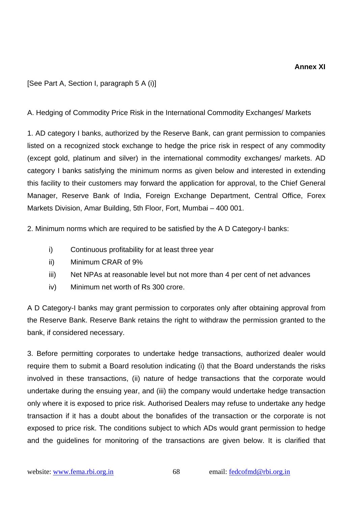[See Part A, Section I, paragraph 5 A (i)]

A. Hedging of Commodity Price Risk in the International Commodity Exchanges/ Markets

1. AD category I banks, authorized by the Reserve Bank, can grant permission to companies listed on a recognized stock exchange to hedge the price risk in respect of any commodity (except gold, platinum and silver) in the international commodity exchanges/ markets. AD category I banks satisfying the minimum norms as given below and interested in extending this facility to their customers may forward the application for approval, to the Chief General Manager, Reserve Bank of India, Foreign Exchange Department, Central Office, Forex Markets Division, Amar Building, 5th Floor, Fort, Mumbai – 400 001.

2. Minimum norms which are required to be satisfied by the A D Category-I banks:

- i) Continuous profitability for at least three year
- ii) Minimum CRAR of 9%
- iii) Net NPAs at reasonable level but not more than 4 per cent of net advances
- iv) Minimum net worth of Rs 300 crore.

A D Category-I banks may grant permission to corporates only after obtaining approval from the Reserve Bank. Reserve Bank retains the right to withdraw the permission granted to the bank, if considered necessary.

3. Before permitting corporates to undertake hedge transactions, authorized dealer would require them to submit a Board resolution indicating (i) that the Board understands the risks involved in these transactions, (ii) nature of hedge transactions that the corporate would undertake during the ensuing year, and (iii) the company would undertake hedge transaction only where it is exposed to price risk. Authorised Dealers may refuse to undertake any hedge transaction if it has a doubt about the bonafides of the transaction or the corporate is not exposed to price risk. The conditions subject to which ADs would grant permission to hedge and the guidelines for monitoring of the transactions are given below. It is clarified that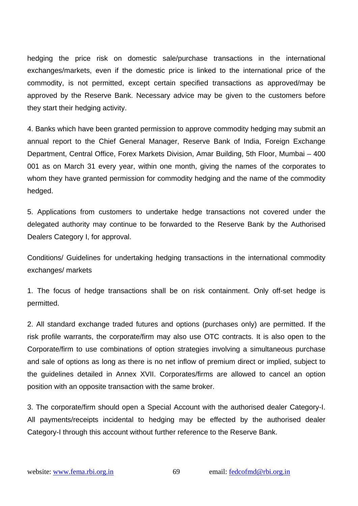hedging the price risk on domestic sale/purchase transactions in the international exchanges/markets, even if the domestic price is linked to the international price of the commodity, is not permitted, except certain specified transactions as approved/may be approved by the Reserve Bank. Necessary advice may be given to the customers before they start their hedging activity.

4. Banks which have been granted permission to approve commodity hedging may submit an annual report to the Chief General Manager, Reserve Bank of India, Foreign Exchange Department, Central Office, Forex Markets Division, Amar Building, 5th Floor, Mumbai – 400 001 as on March 31 every year, within one month, giving the names of the corporates to whom they have granted permission for commodity hedging and the name of the commodity hedged.

5. Applications from customers to undertake hedge transactions not covered under the delegated authority may continue to be forwarded to the Reserve Bank by the Authorised Dealers Category I, for approval.

Conditions/ Guidelines for undertaking hedging transactions in the international commodity exchanges/ markets

1. The focus of hedge transactions shall be on risk containment. Only off-set hedge is permitted.

2. All standard exchange traded futures and options (purchases only) are permitted. If the risk profile warrants, the corporate/firm may also use OTC contracts. It is also open to the Corporate/firm to use combinations of option strategies involving a simultaneous purchase and sale of options as long as there is no net inflow of premium direct or implied, subject to the guidelines detailed in Annex XVII. Corporates/firms are allowed to cancel an option position with an opposite transaction with the same broker.

3. The corporate/firm should open a Special Account with the authorised dealer Category-I. All payments/receipts incidental to hedging may be effected by the authorised dealer Category-I through this account without further reference to the Reserve Bank.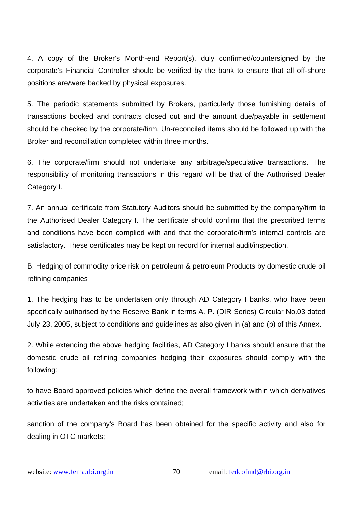4. A copy of the Broker's Month-end Report(s), duly confirmed/countersigned by the corporate's Financial Controller should be verified by the bank to ensure that all off-shore positions are/were backed by physical exposures.

5. The periodic statements submitted by Brokers, particularly those furnishing details of transactions booked and contracts closed out and the amount due/payable in settlement should be checked by the corporate/firm. Un-reconciled items should be followed up with the Broker and reconciliation completed within three months.

6. The corporate/firm should not undertake any arbitrage/speculative transactions. The responsibility of monitoring transactions in this regard will be that of the Authorised Dealer Category I.

7. An annual certificate from Statutory Auditors should be submitted by the company/firm to the Authorised Dealer Category I. The certificate should confirm that the prescribed terms and conditions have been complied with and that the corporate/firm's internal controls are satisfactory. These certificates may be kept on record for internal audit/inspection.

B. Hedging of commodity price risk on petroleum & petroleum Products by domestic crude oil refining companies

1. The hedging has to be undertaken only through AD Category I banks, who have been specifically authorised by the Reserve Bank in terms A. P. (DIR Series) Circular No.03 dated July 23, 2005, subject to conditions and guidelines as also given in (a) and (b) of this Annex.

2. While extending the above hedging facilities, AD Category I banks should ensure that the domestic crude oil refining companies hedging their exposures should comply with the following:

to have Board approved policies which define the overall framework within which derivatives activities are undertaken and the risks contained;

sanction of the company's Board has been obtained for the specific activity and also for dealing in OTC markets;